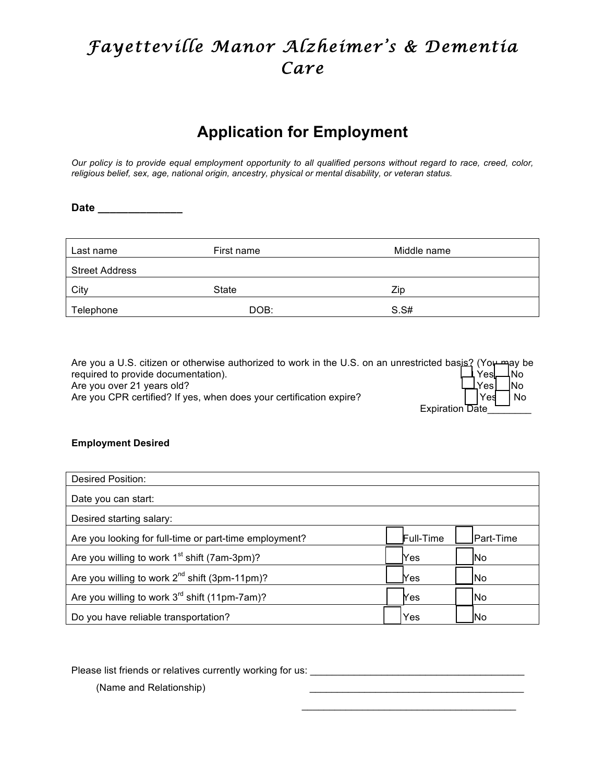# *Fayetteville Manor Alzheimer's & Dementia Care*

## **Application for Employment**

*Our policy is to provide equal employment opportunity to all qualified persons without regard to race, creed, color, religious belief, sex, age, national origin, ancestry, physical or mental disability, or veteran status.*

**Date \_\_\_\_\_\_\_\_\_\_\_\_\_\_**

| Last name             | First name | Middle name |
|-----------------------|------------|-------------|
| <b>Street Address</b> |            |             |
| City                  | State      | Zip         |
| Telephone             | DOB:       | S.S#        |

Are you a U.S. citizen or otherwise authorized to work in the U.S. on an unrestricted basis? (You may be required to provide documentation).  $\begin{bmatrix} 1 & 1 \\ 1 & 1 \end{bmatrix}$  Yes  $\begin{bmatrix} 1 & 1 \\ 1 & 1 \end{bmatrix}$  Yes  $\begin{bmatrix} 1 & 1 \\ 1 & 1 \end{bmatrix}$ Are you over 21 years old?  $\Box$  Yes  $\Box$  No Are you CPR certified? If yes, when does your certification expire?  $|$  Yes  $|$  No Expiration Date

## **Employment Desired**

| <b>Desired Position:</b>                                  |            |            |
|-----------------------------------------------------------|------------|------------|
| Date you can start:                                       |            |            |
| Desired starting salary:                                  |            |            |
| Are you looking for full-time or part-time employment?    | Full-Time  | IPart-Time |
| Are you willing to work $1st$ shift (7am-3pm)?            | <b>Yes</b> | <b>INo</b> |
| Are you willing to work 2 <sup>nd</sup> shift (3pm-11pm)? | Yes        | lNo        |
| Are you willing to work $3^{rd}$ shift (11pm-7am)?        | Yes        | lNo        |
| Do you have reliable transportation?                      | Yes        | lNo        |

 $\frac{1}{\sqrt{2}}$  , and the set of the set of the set of the set of the set of the set of the set of the set of the set of the set of the set of the set of the set of the set of the set of the set of the set of the set of the

Please list friends or relatives currently working for us: \_\_\_\_\_\_\_\_\_\_\_\_\_\_\_\_\_\_\_\_\_\_

(Name and Relationship)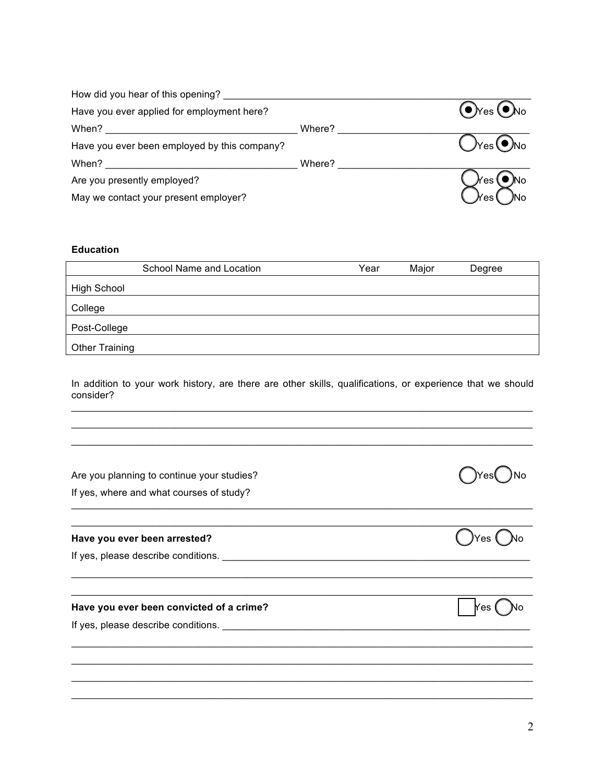| How did you hear of this opening?            |        |                                    |
|----------------------------------------------|--------|------------------------------------|
| Have you ever applied for employment here?   |        | $\odot$ Yes $\odot$ No             |
| When?                                        | Where? |                                    |
| Have you ever been employed by this company? |        | $\lambda_{\text{res}}(\bullet)$ No |
| When?                                        | Where? |                                    |
| Are you presently employed?                  |        | $\bullet$ No<br>′es (              |
| May we contact your present employer?        |        | 'es                                |

## **Education**

|                       | School Name and Location | Year | Major | Degree |
|-----------------------|--------------------------|------|-------|--------|
| <b>High School</b>    |                          |      |       |        |
| College               |                          |      |       |        |
| Post-College          |                          |      |       |        |
| <b>Other Training</b> |                          |      |       |        |

In addition to your work history, are there are other skills, qualifications, or experience that we should consider?  $\_$  , and the state of the state of the state of the state of the state of the state of the state of the state of the state of the state of the state of the state of the state of the state of the state of the state of the

 $\_$  , and the state of the state of the state of the state of the state of the state of the state of the state of the state of the state of the state of the state of the state of the state of the state of the state of the  $\_$  , and the state of the state of the state of the state of the state of the state of the state of the state of the state of the state of the state of the state of the state of the state of the state of the state of the

 $\_$  , and the state of the state of the state of the state of the state of the state of the state of the state of the state of the state of the state of the state of the state of the state of the state of the state of the  $\_$  , and the state of the state of the state of the state of the state of the state of the state of the state of the state of the state of the state of the state of the state of the state of the state of the state of the

 $\_$  , and the state of the state of the state of the state of the state of the state of the state of the state of the state of the state of the state of the state of the state of the state of the state of the state of the  $\_$  , and the state of the state of the state of the state of the state of the state of the state of the state of the state of the state of the state of the state of the state of the state of the state of the state of the

 $\_$  , and the set of the set of the set of the set of the set of the set of the set of the set of the set of the set of the set of the set of the set of the set of the set of the set of the set of the set of the set of th  $\_$  , and the state of the state of the state of the state of the state of the state of the state of the state of the state of the state of the state of the state of the state of the state of the state of the state of the  $\_$  , and the state of the state of the state of the state of the state of the state of the state of the state of the state of the state of the state of the state of the state of the state of the state of the state of the  $\_$  , and the state of the state of the state of the state of the state of the state of the state of the state of the state of the state of the state of the state of the state of the state of the state of the state of the

Are you planning to continue your studies?  $\bigcap$  Yes  $\bigcap$  Yes  $\bigcap$  Yes  $\bigcap$  No

If yes, where and what courses of study?

**Have you ever been arrested? All Accords Contained a Security Contained a Security Contained a Security Contained a Security Contained a Security Contained a Security Contained a Security Contained a Security Containe** 

If yes, please describe conditions. \_\_\_\_\_\_\_\_\_\_\_\_\_\_\_\_\_\_\_\_\_\_\_\_\_\_\_\_\_\_\_\_\_\_\_\_\_\_\_\_\_\_\_\_\_\_\_\_\_\_\_\_\_\_\_\_

## **Have you ever been convicted of a crime? All intervals and All intervals and All intervals and Yes (All intervals and Yes (All intervals and Yes (All intervals and Yes (All intervals and Yes (All intervals and Yes of Al**

If yes, please describe conditions.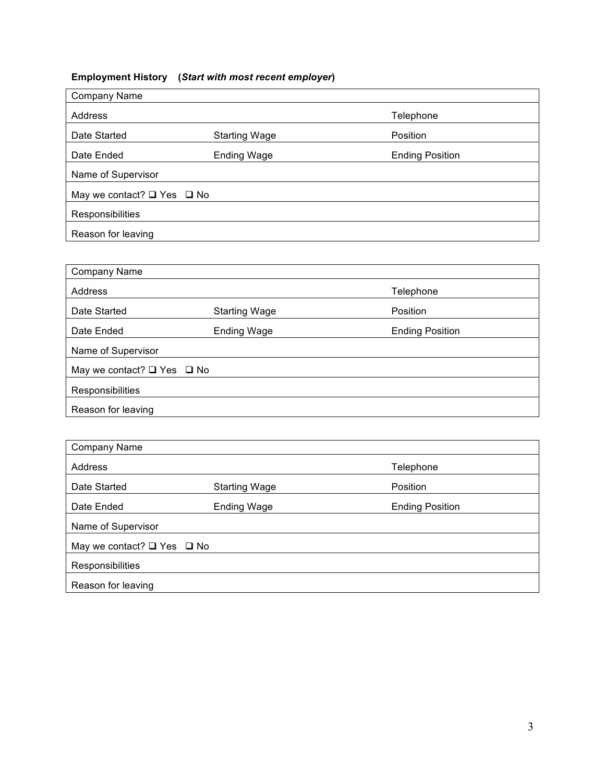## **Employment History (***Start with most recent employer***)**

| <b>Company Name</b>                  |                    |                        |  |  |
|--------------------------------------|--------------------|------------------------|--|--|
| Address                              |                    | Telephone              |  |  |
| Date Started<br><b>Starting Wage</b> |                    | Position               |  |  |
| Date Ended                           | <b>Ending Wage</b> | <b>Ending Position</b> |  |  |
| Name of Supervisor                   |                    |                        |  |  |
| May we contact? $\Box$ Yes $\Box$ No |                    |                        |  |  |
| Responsibilities                     |                    |                        |  |  |
| Reason for leaving                   |                    |                        |  |  |

| Company Name                         |                      |                        |  |  |
|--------------------------------------|----------------------|------------------------|--|--|
| Address                              |                      | Telephone              |  |  |
| Date Started                         | <b>Starting Wage</b> | Position               |  |  |
| Date Ended                           | <b>Ending Wage</b>   | <b>Ending Position</b> |  |  |
| Name of Supervisor                   |                      |                        |  |  |
| May we contact? $\Box$ Yes $\Box$ No |                      |                        |  |  |
| Responsibilities                     |                      |                        |  |  |
| Reason for leaving                   |                      |                        |  |  |

| Company Name                         |                    |                        |  |  |
|--------------------------------------|--------------------|------------------------|--|--|
| Address                              |                    | Telephone              |  |  |
| Date Started<br><b>Starting Wage</b> |                    | Position               |  |  |
| Date Ended                           | <b>Ending Wage</b> | <b>Ending Position</b> |  |  |
| Name of Supervisor                   |                    |                        |  |  |
| May we contact? $\Box$ Yes $\Box$ No |                    |                        |  |  |
| <b>Responsibilities</b>              |                    |                        |  |  |
| Reason for leaving                   |                    |                        |  |  |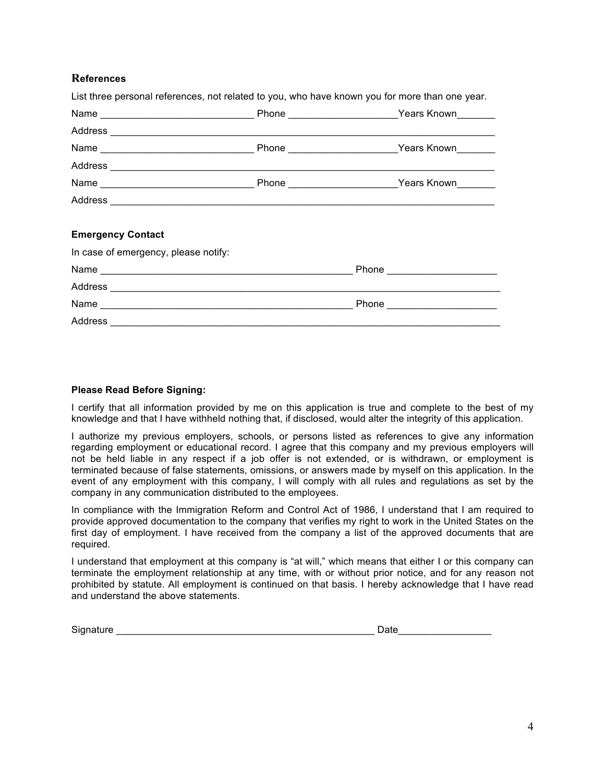## **References**

|  | List three personal references, not related to you, who have known you for more than one year.<br>Address experience and the contract of the contract of the contract of the contract of the contract of the contract of the contract of the contract of the contract of the contract of the contract of the contract of the con |
|--|----------------------------------------------------------------------------------------------------------------------------------------------------------------------------------------------------------------------------------------------------------------------------------------------------------------------------------|

#### **Please Read Before Signing:**

I certify that all information provided by me on this application is true and complete to the best of my knowledge and that I have withheld nothing that, if disclosed, would alter the integrity of this application.

I authorize my previous employers, schools, or persons listed as references to give any information regarding employment or educational record. I agree that this company and my previous employers will not be held liable in any respect if a job offer is not extended, or is withdrawn, or employment is terminated because of false statements, omissions, or answers made by myself on this application. In the event of any employment with this company, I will comply with all rules and regulations as set by the company in any communication distributed to the employees.

In compliance with the Immigration Reform and Control Act of 1986, I understand that I am required to provide approved documentation to the company that verifies my right to work in the United States on the first day of employment. I have received from the company a list of the approved documents that are required.

I understand that employment at this company is "at will," which means that either I or this company can terminate the employment relationship at any time, with or without prior notice, and for any reason not prohibited by statute. All employment is continued on that basis. I hereby acknowledge that I have read and understand the above statements.

Signature **Date 20 and 20 and 20 and 20 and 20 and 20 and 20 and 20 and 20 and 20 and 20 and 20 and 20 and 20** 

| )ate |  |  |  |
|------|--|--|--|
|      |  |  |  |